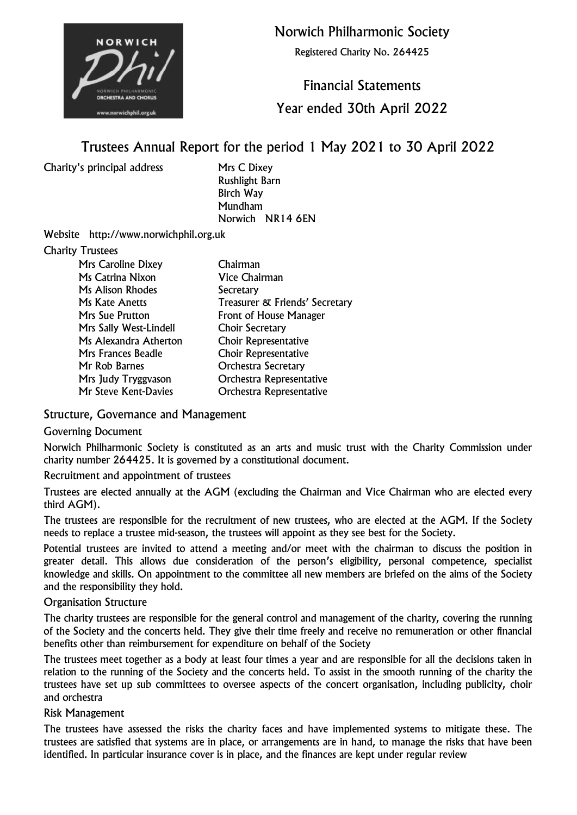

Norwich Philharmonic Society

Registered Charity No. 264425

# Financial Statements Year ended 30th April 2022

# Trustees Annual Report for the period 1 May 2021 to 30 April 2022

Charity's principal address Mrs C Dixey

Rushlight Barn Birch Way Mundham Norwich NR14 6EN

Website http://www.norwichphil.org.uk

### Charity Trustees

| <b>Mrs Caroline Dixey</b> | Chairman                       |
|---------------------------|--------------------------------|
| Ms Catrina Nixon          | <b>Vice Chairman</b>           |
| Ms Alison Rhodes          | Secretary                      |
| Ms Kate Anetts            | Treasurer & Friends' Secretary |
| <b>Mrs Sue Prutton</b>    | <b>Front of House Manager</b>  |
| Mrs Sally West-Lindell    | <b>Choir Secretary</b>         |
| Ms Alexandra Atherton     | Choir Representative           |
| Mrs Frances Beadle        | <b>Choir Representative</b>    |
| Mr Rob Barnes             | <b>Orchestra Secretary</b>     |
| Mrs Judy Tryggvason       | Orchestra Representative       |
| Mr Steve Kent-Davies      | Orchestra Representative       |

# Structure, Governance and Management

#### Governing Document

Norwich Philharmonic Society is constituted as an arts and music trust with the Charity Commission under charity number 264425. It is governed by a constitutional document.

#### Recruitment and appointment of trustees

Trustees are elected annually at the AGM (excluding the Chairman and Vice Chairman who are elected every third AGM).

The trustees are responsible for the recruitment of new trustees, who are elected at the AGM. If the Society needs to replace a trustee mid-season, the trustees will appoint as they see best for the Society.

Potential trustees are invited to attend a meeting and/or meet with the chairman to discuss the position in greater detail. This allows due consideration of the person's eligibility, personal competence, specialist knowledge and skills. On appointment to the committee all new members are briefed on the aims of the Society and the responsibility they hold.

#### Organisation Structure

The charity trustees are responsible for the general control and management of the charity, covering the running of the Society and the concerts held. They give their time freely and receive no remuneration or other financial benefits other than reimbursement for expenditure on behalf of the Society

The trustees meet together as a body at least four times a year and are responsible for all the decisions taken in relation to the running of the Society and the concerts held. To assist in the smooth running of the charity the trustees have set up sub committees to oversee aspects of the concert organisation, including publicity, choir and orchestra

#### Risk Management

The trustees have assessed the risks the charity faces and have implemented systems to mitigate these. The trustees are satisfied that systems are in place, or arrangements are in hand, to manage the risks that have been identified. In particular insurance cover is in place, and the finances are kept under regular review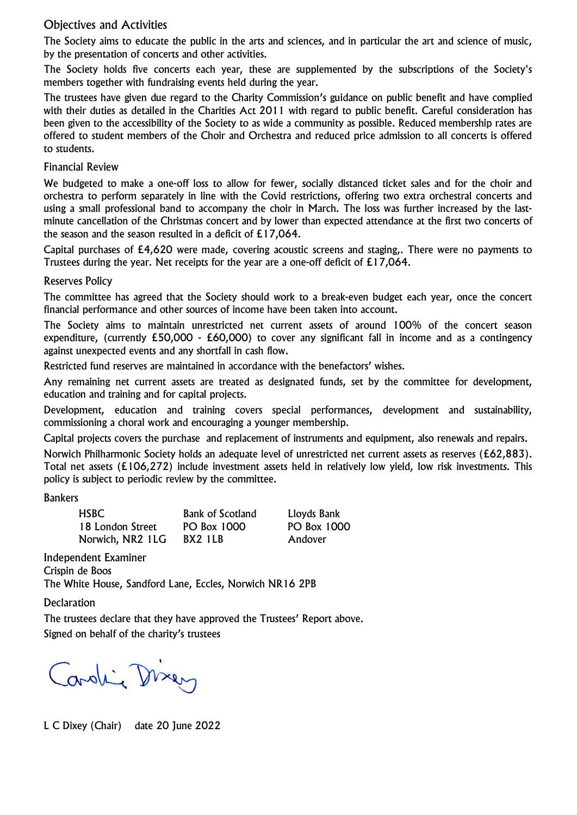# Objectives and Activities

The Society aims to educate the public in the arts and sciences, and in particular the art and science of music, by the presentation of concerts and other activities.

The Society holds five concerts each year, these are supplemented by the subscriptions of the Society's members together with fundraising events held during the year.

The trustees have given due regard to the Charity Commission's guidance on public benefit and have complied with their duties as detailed in the Charities Act 2011 with regard to public benefit. Careful consideration has been given to the accessibility of the Society to as wide a community as possible. Reduced membership rates are offered to student members of the Choir and Orchestra and reduced price admission to all concerts is offered to students.

#### Financial Review

We budgeted to make a one-off loss to allow for fewer, socially distanced ticket sales and for the choir and orchestra to perform separately in line with the Covid restrictions, offering two extra orchestral concerts and using a small professional band to accompany the choir in March. The loss was further increased by the lastminute cancellation of the Christmas concert and by lower than expected attendance at the first two concerts of the season and the season resulted in a deficit of £17,064.

Capital purchases of £4,620 were made, covering acoustic screens and staging,. There were no payments to Trustees during the year. Net receipts for the year are a one-off deficit of £17,064.

#### Reserves Policy

The committee has agreed that the Society should work to a break-even budget each year, once the concert financial performance and other sources of income have been taken into account.

The Society aims to maintain unrestricted net current assets of around 100% of the concert season expenditure, (currently £50,000 - £60,000) to cover any significant fall in income and as a contingency against unexpected events and any shortfall in cash flow.

Restricted fund reserves are maintained in accordance with the benefactors' wishes.

Any remaining net current assets are treated as designated funds, set by the committee for development, education and training and for capital projects.

Development, education and training covers special performances, development and sustainability, commissioning a choral work and encouraging a younger membership.

Capital projects covers the purchase and replacement of instruments and equipment, also renewals and repairs.

Norwich Philharmonic Society holds an adequate level of unrestricted net current assets as reserves (£62,883). Total net assets (£106,272) include investment assets held in relatively low yield, low risk investments. This policy is subject to periodic review by the committee.

#### Bankers

| <b>HSBC</b>      | <b>Bank of Scotland</b> | Lloyds Bank |
|------------------|-------------------------|-------------|
| 18 London Street | PO Box 1000             | PO Box 1000 |
| Norwich, NR2 1LG | BX2 1LB                 | Andover     |

Independent Examiner Crispin de Boos The White House, Sandford Lane, Eccles, Norwich NR16 2PB

**Declaration** 

The trustees declare that they have approved the Trustees' Report above. Signed on behalf of the charity's trustees

Caroline Dixer

L C Dixey (Chair) date 20 June 2022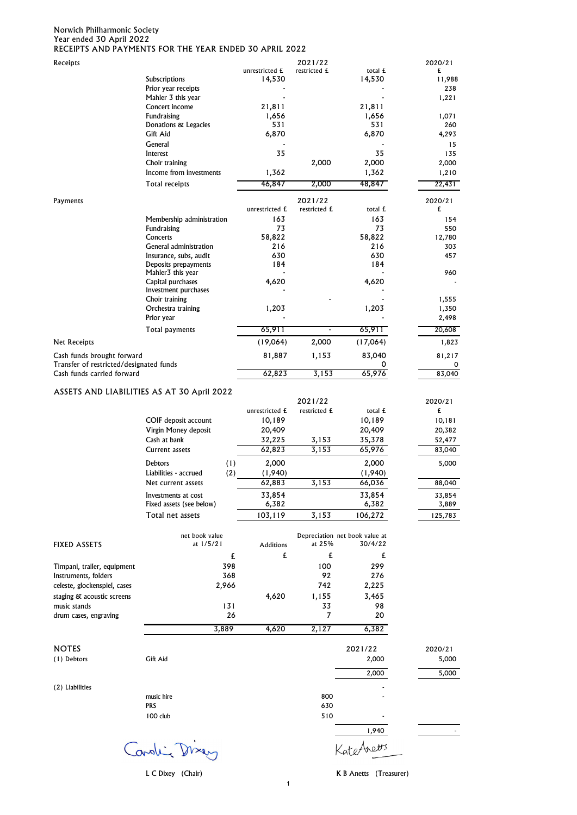#### Norwich Philharmonic Society Year ended 30 April 2022 RECEIPTS AND PAYMENTS FOR THE YEAR ENDED 30 APRIL 2022

| Receipts                                                              |                                                    |                          | 2021/22                 |                                           | 2020/21          |
|-----------------------------------------------------------------------|----------------------------------------------------|--------------------------|-------------------------|-------------------------------------------|------------------|
|                                                                       | Subscriptions                                      | unrestricted £<br>14,530 | restricted £            | total £<br>14,530                         | £<br>11,988      |
|                                                                       | Prior year receipts                                |                          |                         |                                           | 238              |
|                                                                       | Mahler 3 this year                                 |                          |                         |                                           | 1,221            |
|                                                                       | Concert income<br>Fundraising                      | 21,811<br>1,656          |                         | 21,811<br>1,656                           | 1,071            |
|                                                                       | Donations & Legacies                               | 531                      |                         | 531                                       | 260              |
|                                                                       | Gift Aid                                           | 6,870                    |                         | 6,870                                     | 4,293            |
|                                                                       | General                                            |                          |                         |                                           | 15               |
|                                                                       | Interest                                           | 35                       |                         | 35                                        | 135              |
|                                                                       | Choir training<br>Income from investments          | 1,362                    | 2,000                   | 2,000<br>1,362                            | 2,000<br>1,210   |
|                                                                       | Total receipts                                     | 46,847                   | 2,000                   | 48,847                                    | 22,431           |
|                                                                       |                                                    |                          |                         |                                           |                  |
| Payments                                                              |                                                    | unrestricted £           | 2021/22<br>restricted £ | total £                                   | 2020/21<br>£     |
|                                                                       | Membership administration                          | 163                      |                         | 163                                       | 154              |
|                                                                       | Fundraising                                        | 73                       |                         | 73                                        | 550              |
|                                                                       | Concerts                                           | 58,822                   |                         | 58,822                                    | 12,780           |
|                                                                       | General administration<br>Insurance, subs, audit   | 216<br>630               |                         | 216<br>630                                | 303<br>457       |
|                                                                       | Deposits prepayments                               | 184                      |                         | 184                                       |                  |
|                                                                       | Mahler <sub>3</sub> this year                      |                          |                         |                                           | 960              |
|                                                                       | Capital purchases<br>Investment purchases          | 4,620                    |                         | 4,620                                     |                  |
|                                                                       | Choir training                                     |                          |                         |                                           | 1,555            |
|                                                                       | Orchestra training                                 | 1,203                    |                         | 1,203                                     | 1,350            |
|                                                                       | Prior year                                         |                          |                         |                                           | 2,498            |
|                                                                       | Total payments                                     | 65,911                   |                         | 65,911                                    | 20,608           |
| Net Receipts                                                          |                                                    | (19,064)                 | 2,000                   | (17,064)                                  | 1,823            |
| Cash funds brought forward<br>Transfer of restricted/designated funds |                                                    | 81,887                   | 1,153                   | 83,040<br>0                               | 81,217           |
| Cash funds carried forward                                            |                                                    | 62,823                   | 3,153                   | 65,976                                    | 0<br>83,040      |
|                                                                       | ASSETS AND LIABILITIES AS AT 30 April 2022         |                          |                         |                                           |                  |
|                                                                       |                                                    |                          | 2021/22                 |                                           | 2020/21          |
|                                                                       |                                                    | unrestricted £           | restricted £            | total £                                   | £                |
|                                                                       | COIF deposit account                               | 10,189                   |                         | 10,189                                    | 10,181           |
|                                                                       | Virgin Money deposit                               | 20,409                   |                         | 20,409                                    | 20,382           |
|                                                                       | Cash at bank                                       | 32,225                   | 3,153                   | 35,378                                    | 52,477           |
|                                                                       | Current assets                                     | 62,823                   | 3,153                   | 65,976                                    | 83,040           |
|                                                                       | (1)<br>Debtors                                     | 2,000                    |                         | 2,000                                     | 5,000            |
|                                                                       | Liabilities - accrued<br>(2)<br>Net current assets | (1,940)<br>62,883        | 3,153                   | (1,940)                                   |                  |
|                                                                       |                                                    |                          |                         | 66,036                                    | 88,040           |
|                                                                       | Investments at cost<br>Fixed assets (see below)    | 33,854<br>6,382          |                         | 33,854<br>6,382                           | 33,854<br>3,889  |
|                                                                       | Total net assets                                   | 103,119                  | 3,153                   | 106,272                                   | 125,783          |
|                                                                       |                                                    |                          |                         |                                           |                  |
| FIXED ASSETS                                                          | net book value<br>at $1/5/21$                      |                          | at 25%                  | Depreciation net book value at<br>30/4/22 |                  |
|                                                                       | £                                                  | Additions<br>£           | £                       | £                                         |                  |
| Timpani, trailer, equipment                                           | 398                                                |                          | 100                     | 299                                       |                  |
| Instruments, folders                                                  | 368                                                |                          | 92                      | 276                                       |                  |
| celeste, glockenspiel, cases                                          | 2,966                                              |                          | 742                     | 2,225                                     |                  |
| staging & acoustic screens                                            |                                                    | 4,620                    | 1,155                   | 3,465                                     |                  |
| music stands                                                          | 131                                                |                          | 33                      | 98                                        |                  |
| drum cases, engraving                                                 | 26                                                 |                          | 7                       | 20                                        |                  |
|                                                                       | 3,889                                              | 4,620                    | 2,127                   | 6,382                                     |                  |
| <b>NOTES</b>                                                          |                                                    |                          |                         | 2021/22                                   |                  |
| (1) Debtors                                                           | Gift Aid                                           |                          |                         | 2,000                                     | 2020/21<br>5,000 |
|                                                                       |                                                    |                          |                         | 2,000                                     | 5,000            |
| (2) Liabilities                                                       |                                                    |                          |                         |                                           |                  |
|                                                                       | music hire                                         |                          | 800                     |                                           |                  |
|                                                                       | <b>PRS</b>                                         |                          | 630                     |                                           |                  |
|                                                                       | 100 club                                           |                          | 510                     |                                           |                  |
|                                                                       |                                                    |                          |                         | 1,940                                     |                  |
|                                                                       | Carolin Dixen                                      |                          |                         | KateAnetts                                |                  |
|                                                                       |                                                    |                          |                         |                                           |                  |

L C Dixey (Chair) **K B Anetts** (Treasurer)